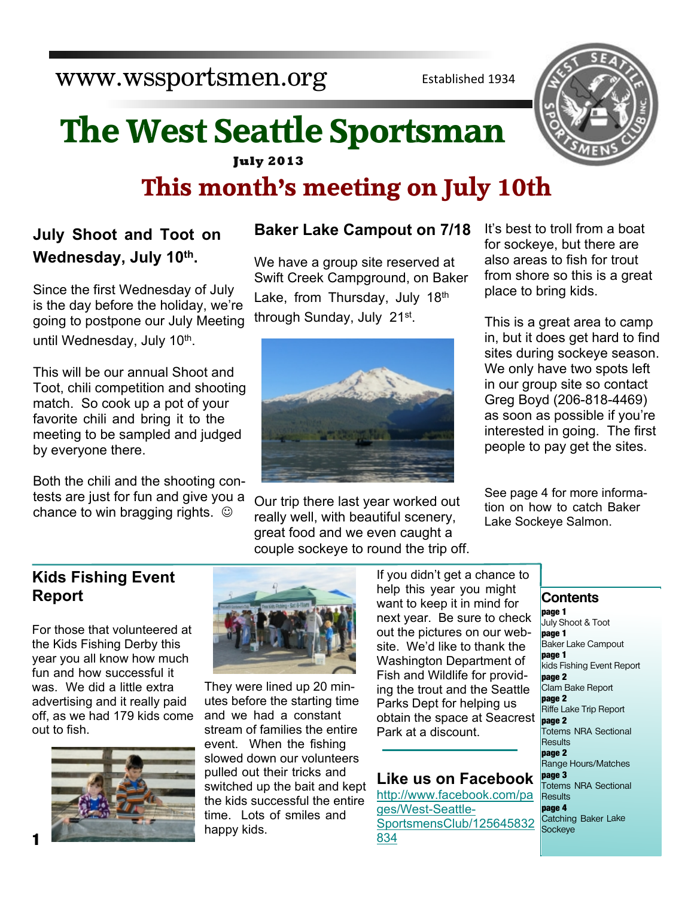www.wssportsmen.org

Established 1934

# **July 2013 The West Seattle Sportsman This month's meeting on July 10th**

# **July Shoot and Toot on Wednesday, July 10th .**

Since the first Wednesday of July is the day before the holiday, we're going to postpone our July Meeting until Wednesday, July 10<sup>th</sup>.

This will be our annual Shoot and Toot, chili competition and shooting match. So cook up a pot of your favorite chili and bring it to the meeting to be sampled and judged by everyone there.

Both the chili and the shooting contests are just for fun and give you a chance to win bragging rights.  $\odot$ 

# **Baker Lake Campout on 7/18**

We have a group site reserved at Swift Creek Campground, on Baker Lake, from Thursday, July 18th through Sunday, July 21<sup>st</sup>.



Our trip there last year worked out really well, with beautiful scenery, great food and we even caught a couple sockeye to round the trip off. It's best to troll from a boat for sockeye, but there are also areas to fish for trout from shore so this is a great place to bring kids.

This is a great area to camp in, but it does get hard to find sites during sockeye season. We only have two spots left in our group site so contact Greg Boyd (206-818-4469) as soon as possible if you're interested in going. The first people to pay get the sites.

See page 4 for more information on how to catch Baker Lake Sockeye Salmon.

# **Kids Fishing Event Report**

For those that volunteered at the Kids Fishing Derby this year you all know how much fun and how successful it was. We did a little extra advertising and it really paid off, as we had 179 kids come out to fish.





They were lined up 20 minutes before the starting time and we had a constant stream of families the entire event. When the fishing slowed down our volunteers pulled out their tricks and switched up the bait and kept the kids successful the entire time. Lots of smiles and happy kids.

If you didn't get a chance to help this year you might want to keep it in mind for next year. Be sure to check out the pictures on our website. We'd like to thank the Washington Department of Fish and Wildlife for providing the trout and the Seattle Parks Dept for helping us obtain the space at Seacrest Park at a discount.

# **Like us on Facebook**

[http://www.facebook.com/pa](http://www.facebook.com/pages/West-Seattle-SportsmensClub/125645832834) [ges/West-Seattle-](http://www.facebook.com/pages/West-Seattle-SportsmensClub/125645832834)[SportsmensClub/125645832](http://www.facebook.com/pages/West-Seattle-SportsmensClub/125645832834) [834](http://www.facebook.com/pages/West-Seattle-SportsmensClub/125645832834)

# **Contents**

**page 1** July Shoot & Toot **page 1** Baker Lake Campout **page 1** kids Fishing Event Report **page 2** Clam Bake Report **page 2** Riffe Lake Trip Report **page 2** Totems NRA Sectional **Results page 2** Range Hours/Matches **page 3** Totems NRA Sectional **Results page 4** Catching Baker Lake Sockeye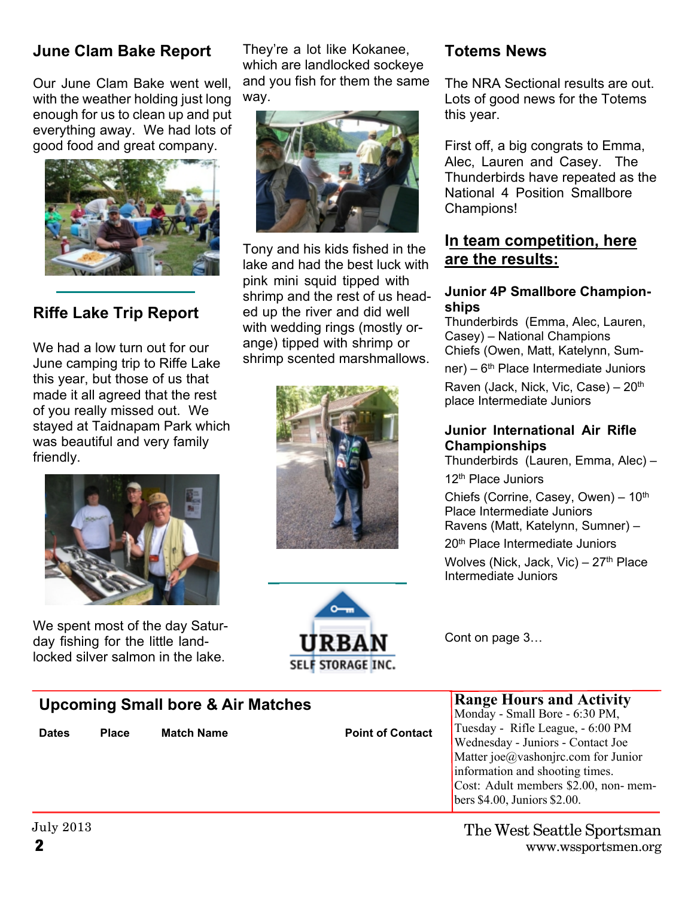# **June Clam Bake Report**

Our June Clam Bake went well, with the weather holding just long enough for us to clean up and put everything away. We had lots of good food and great company.



# **Riffe Lake Trip Report**

We had a low turn out for our June camping trip to Riffe Lake this year, but those of us that made it all agreed that the rest of you really missed out. We stayed at Taidnapam Park which was beautiful and very family friendly.



We spent most of the day Saturday fishing for the little landlocked silver salmon in the lake.

They're a lot like Kokanee, which are landlocked sockeye and you fish for them the same way.



Tony and his kids fished in the lake and had the best luck with pink mini squid tipped with shrimp and the rest of us headed up the river and did well with wedding rings (mostly orange) tipped with shrimp or shrimp scented marshmallows.





# **Totems News**

The NRA Sectional results are out. Lots of good news for the Totems this year.

First off, a big congrats to Emma, Alec, Lauren and Casey. The Thunderbirds have repeated as the National 4 Position Smallbore Champions!

# **In team competition, here are the results:**

#### **Junior 4P Smallbore Championships**

Thunderbirds (Emma, Alec, Lauren, Casey) – National Champions Chiefs (Owen, Matt, Katelynn, Sum $ner$ ) – 6<sup>th</sup> Place Intermediate Juniors Raven (Jack, Nick, Vic, Case) - 20<sup>th</sup> place Intermediate Juniors

#### **Junior International Air Rifle Championships**

Thunderbirds (Lauren, Emma, Alec) – 12<sup>th</sup> Place Juniors

Chiefs (Corrine, Casey, Owen)  $-10^{th}$ Place Intermediate Juniors Ravens (Matt, Katelynn, Sumner) – 20th Place Intermediate Juniors

Wolves (Nick, Jack, Vic) –  $27<sup>th</sup>$  Place Intermediate Juniors

**Range Hours and Activity**

bers \$4.00, Juniors \$2.00.

Cont on page 3…

| <b>Upcoming Small bore &amp; Air Matches</b> |              |                   |                         | <b>Range Hours and Activity</b><br>Monday - Small Bore - 6:30 PM, |
|----------------------------------------------|--------------|-------------------|-------------------------|-------------------------------------------------------------------|
| <b>Dates</b>                                 | <b>Place</b> | <b>Match Name</b> | <b>Point of Contact</b> | Tuesday - Rifle League, - 6:00 PM                                 |
|                                              |              |                   |                         | Wednesday - Juniors - Contact Joe                                 |
|                                              |              |                   |                         | Matter joe@vashonjrc.com for Junior                               |
|                                              |              |                   |                         | information and shooting times.                                   |
|                                              |              |                   |                         | Cost: Adult members \$2.00, non- mem-                             |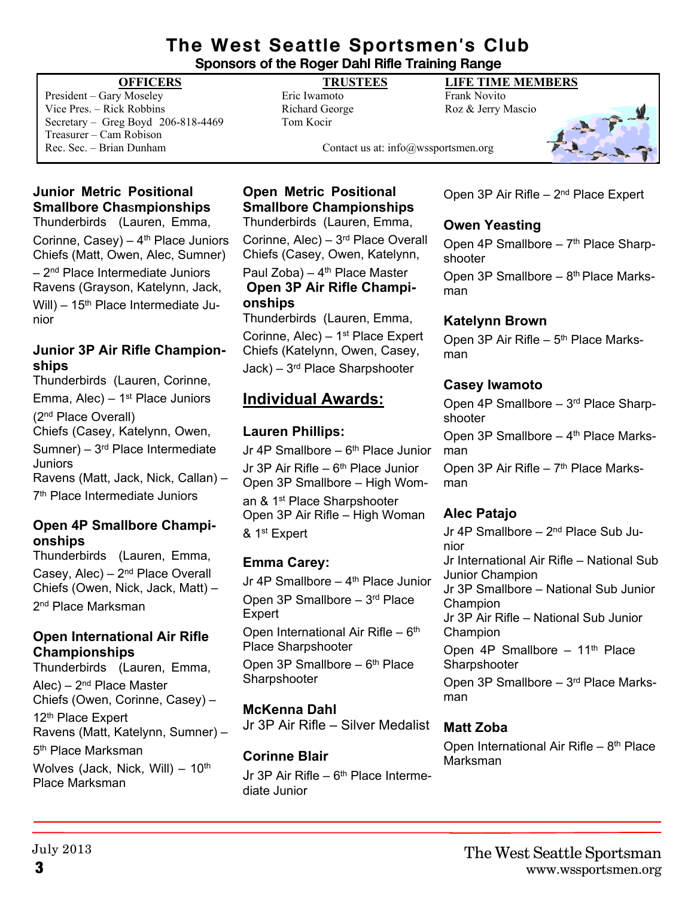### **The West Seattle Sportsmen's Club Sponsors of the Roger Dahl Rifle Training Range**

President – Gary Moseley Eric Iwamoto Frank Novito Vice Pres. – Rick Robbins Richard George Roz & Jerry Mascio Secretary – Greg Boyd 206-818-4469 Tom Kocir Treasurer – Cam Robison Rec. Sec. – Brian Dunham Contact us at: info@wssportsmen.org

### **OFFICERS TRUSTEES LIFE TIME MEMBERS**



# **Junior Metric Positional Smallbore Cha**s**mpionships**

Thunderbirds (Lauren, Emma, Corinne,  $Casey$ ) –  $4<sup>th</sup>$  Place Juniors Chiefs (Matt, Owen, Alec, Sumner)  $-2<sup>nd</sup>$  Place Intermediate Juniors Ravens (Grayson, Katelynn, Jack, Will) –  $15<sup>th</sup>$  Place Intermediate Junior

#### **Junior 3P Air Rifle Championships**

Thunderbirds (Lauren, Corinne, Emma, Alec) –  $1<sup>st</sup>$  Place Juniors (2nd Place Overall) Chiefs (Casey, Katelynn, Owen, Sumner) – 3rd Place Intermediate Juniors Ravens (Matt, Jack, Nick, Callan) – 7 th Place Intermediate Juniors

### **Open 4P Smallbore Championships**

Thunderbirds (Lauren, Emma, Casey, Alec) – 2nd Place Overall Chiefs (Owen, Nick, Jack, Matt) – 2<sup>nd</sup> Place Marksman

#### **Open International Air Rifle Championships**

Thunderbirds (Lauren, Emma,  $Alec$ ) –  $2<sup>nd</sup> Place Master$ Chiefs (Owen, Corinne, Casey) – 12<sup>th</sup> Place Expert Ravens (Matt, Katelynn, Sumner) – 5<sup>th</sup> Place Marksman Wolves (Jack, Nick, Will)  $-10^{th}$ Place Marksman

# **Open Metric Positional Smallbore Championships**

Thunderbirds (Lauren, Emma,

Corinne, Alec) – 3rd Place Overall Chiefs (Casey, Owen, Katelynn, Paul Zoba) –  $4<sup>th</sup>$  Place Master **Open 3P Air Rifle Championships**

Thunderbirds (Lauren, Emma, Corinne,  $Alec$ ) – 1<sup>st</sup> Place Expert Chiefs (Katelynn, Owen, Casey, Jack) – 3rd Place Sharpshooter

# **Individual Awards:**

### **Lauren Phillips:**

Jr 4P Smallbore  $-6$ <sup>th</sup> Place Junior Jr 3P Air Rifle –  $6<sup>th</sup>$  Place Junior Open 3P Smallbore – High Woman & 1st Place Sharpshooter Open 3P Air Rifle – High Woman & 1st Expert

# **Emma Carey:**

Jr 4P Smallbore  $-$  4<sup>th</sup> Place Junior Open 3P Smallbore – 3rd Place Expert Open International Air Rifle –  $6<sup>th</sup>$ Place Sharpshooter Open 3P Smallbore  $-6<sup>th</sup>$  Place Sharpshooter

### **McKenna Dahl**

Jr 3P Air Rifle – Silver Medalist

#### **Corinne Blair**

Jr 3P Air Rifle –  $6<sup>th</sup>$  Place Intermediate Junior

Open 3P Air Rifle – 2nd Place Expert

### **Owen Yeasting**

Open 4P Smallbore  $-7<sup>th</sup>$  Place Sharpshooter Open 3P Smallbore –  $8<sup>th</sup>$  Place Marksman

#### **Katelynn Brown**

Open 3P Air Rifle - 5<sup>th</sup> Place Marksman

#### **Casey Iwamoto**

Open 4P Smallbore – 3rd Place Sharpshooter

Open 3P Smallbore  $-4$ <sup>th</sup> Place Marksman

Open 3P Air Rifle  $-7<sup>th</sup>$  Place Marksman

### **Alec Patajo**

Jr 4P Smallbore – 2<sup>nd</sup> Place Sub Junior Jr International Air Rifle – National Sub Junior Champion Jr 3P Smallbore – National Sub Junior Champion Jr 3P Air Rifle – National Sub Junior Champion Open 4P Smallbore  $-11<sup>th</sup>$  Place **Sharpshooter** Open 3P Smallbore – 3rd Place Marksman

# **Matt Zoba**

Open International Air Rifle  $-8<sup>th</sup>$  Place Marksman